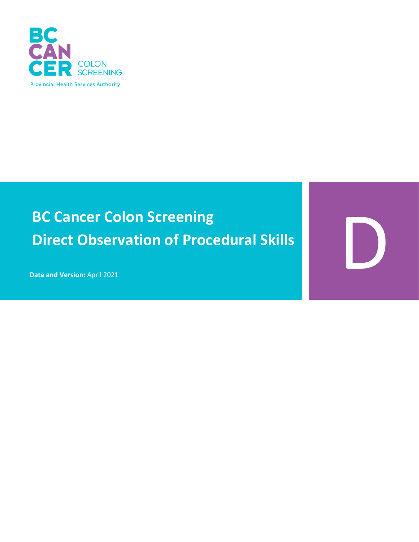

# **BC Cancer Colon Screening Direct Observation of Procedural Skills**

D

**Date and Version:** April 2021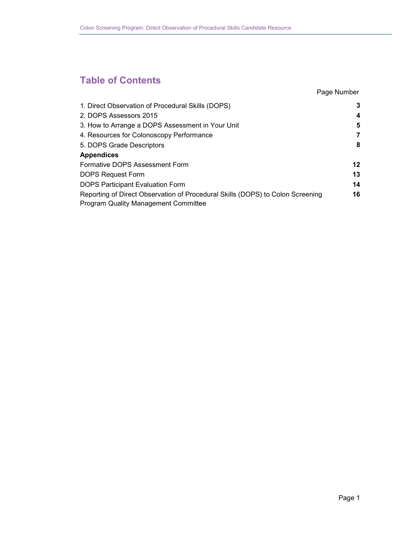### **Table of Contents**

### Page Number

| 1. Direct Observation of Procedural Skills (DOPS)                                                                             | 3       |
|-------------------------------------------------------------------------------------------------------------------------------|---------|
| 2. DOPS Assessors 2015                                                                                                        | 4       |
| 3. How to Arrange a DOPS Assessment in Your Unit                                                                              | 5       |
| 4. Resources for Colonoscopy Performance                                                                                      | 7       |
| 5. DOPS Grade Descriptors                                                                                                     | 8       |
| <b>Appendices</b>                                                                                                             |         |
| Formative DOPS Assessment Form                                                                                                | $12 \,$ |
| <b>DOPS Request Form</b>                                                                                                      | 13      |
| DOPS Participant Evaluation Form                                                                                              | 14      |
| Reporting of Direct Observation of Procedural Skills (DOPS) to Colon Screening<br><b>Program Quality Management Committee</b> | 16      |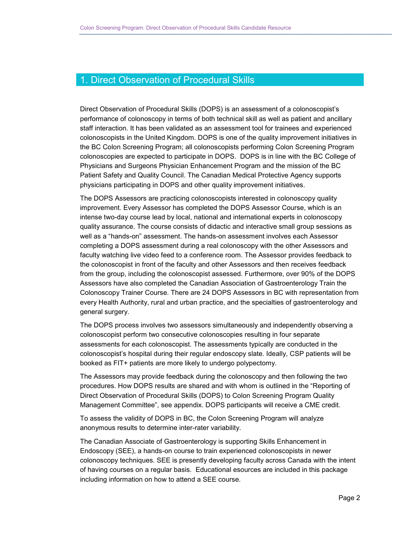### 1. Direct Observation of Procedural Skills

Direct Observation of Procedural Skills (DOPS) is an assessment of a colonoscopist's performance of colonoscopy in terms of both technical skill as well as patient and ancillary staff interaction. It has been validated as an assessment tool for trainees and experienced colonoscopists in the United Kingdom. DOPS is one of the quality improvement initiatives in the BC Colon Screening Program; all colonoscopists performing Colon Screening Program colonoscopies are expected to participate in DOPS. DOPS is in line with the BC College of Physicians and Surgeons Physician Enhancement Program and the mission of the BC Patient Safety and Quality Council. The Canadian Medical Protective Agency supports physicians participating in DOPS and other quality improvement initiatives.

The DOPS Assessors are practicing colonoscopists interested in colonoscopy quality improvement. Every Assessor has completed the DOPS Assessor Course, which is an intense two-day course lead by local, national and international experts in colonoscopy quality assurance. The course consists of didactic and interactive small group sessions as well as a "hands-on" assessment. The hands-on assessment involves each Assessor completing a DOPS assessment during a real colonoscopy with the other Assessors and faculty watching live video feed to a conference room. The Assessor provides feedback to the colonoscopist in front of the faculty and other Assessors and then receives feedback from the group, including the colonoscopist assessed. Furthermore, over 90% of the DOPS Assessors have also completed the Canadian Association of Gastroenterology Train the Colonoscopy Trainer Course. There are 24 DOPS Assessors in BC with representation from every Health Authority, rural and urban practice, and the specialties of gastroenterology and general surgery.

The DOPS process involves two assessors simultaneously and independently observing a colonoscopist perform two consecutive colonoscopies resulting in four separate assessments for each colonoscopist. The assessments typically are conducted in the colonoscopist's hospital during their regular endoscopy slate. Ideally, CSP patients will be booked as FIT+ patients are more likely to undergo polypectomy.

The Assessors may provide feedback during the colonoscopy and then following the two procedures. How DOPS results are shared and with whom is outlined in the "Reporting of Direct Observation of Procedural Skills (DOPS) to Colon Screening Program Quality Management Committee", see appendix. DOPS participants will receive a CME credit.

To assess the validity of DOPS in BC, the Colon Screening Program will analyze anonymous results to determine inter-rater variability.

The Canadian Associate of Gastroenterology is supporting Skills Enhancement in Endoscopy (SEE), a hands-on course to train experienced colonoscopists in newer colonoscopy techniques. SEE is presently developing faculty across Canada with the intent of having courses on a regular basis. Educational esources are included in this package including information on how to attend a SEE course.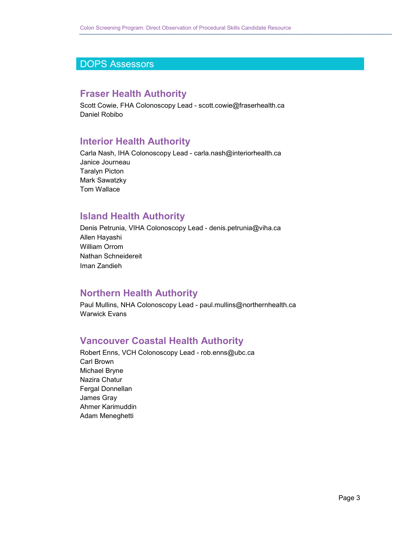### DOPS Assessors

### **Fraser Health Authority**

Scott Cowie, FHA Colonoscopy Lead - scott.cowie@fraserhealth.ca Daniel Robibo

### **Interior Health Authority**

Carla Nash, IHA Colonoscopy Lead - carla.nash@interiorhealth.ca Janice Journeau Taralyn Picton Mark Sawatzky Tom Wallace

### **Island Health Authority**

Denis Petrunia, VIHA Colonoscopy Lead - denis.petrunia@viha.ca Allen Hayashi William Orrom Nathan Schneidereit Iman Zandieh

### **Northern Health Authority**

Paul Mullins, NHA Colonoscopy Lead - paul.mullins@northernhealth.ca Warwick Evans

### **Vancouver Coastal Health Authority**

Robert Enns, VCH Colonoscopy Lead - rob.enns@ubc.ca Carl Brown Michael Bryne Nazira Chatur Fergal Donnellan James Gray Ahmer Karimuddin Adam Meneghetti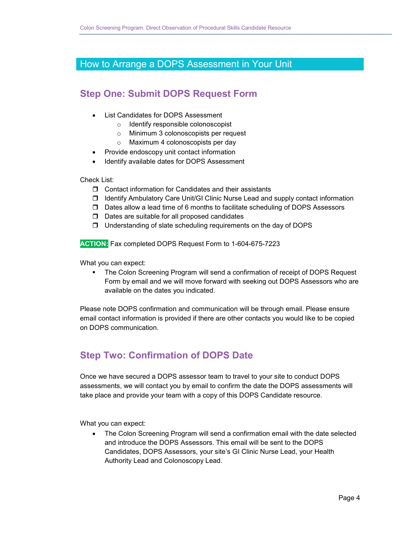### How to Arrange a DOPS Assessment in Your Unit

### **Step One: Submit DOPS Request Form**

- List Candidates for DOPS Assessment
	- o Identify responsible colonoscopist
	- o Minimum 3 colonoscopists per request
	- o Maximum 4 colonoscopists per day
- Provide endoscopy unit contact information
- Identify available dates for DOPS Assessment

Check List:

- $\Box$  Contact information for Candidates and their assistants
- $\Box$  Identify Ambulatory Care Unit/GI Clinic Nurse Lead and supply contact information
- $\Box$  Dates allow a lead time of 6 months to facilitate scheduling of DOPS Assessors
- $\Box$  Dates are suitable for all proposed candidates
- $\Box$  Understanding of slate scheduling requirements on the day of DOPS

**ACTION:** Fax completed DOPS Request Form to 1-604-675-7223

What you can expect:

 The Colon Screening Program will send a confirmation of receipt of DOPS Request Form by email and we will move forward with seeking out DOPS Assessors who are available on the dates you indicated.

Please note DOPS confirmation and communication will be through email. Please ensure email contact information is provided if there are other contacts you would like to be copied on DOPS communication.

### **Step Two: Confirmation of DOPS Date**

Once we have secured a DOPS assessor team to travel to your site to conduct DOPS assessments, we will contact you by email to confirm the date the DOPS assessments will take place and provide your team with a copy of this DOPS Candidate resource.

What you can expect:

• The Colon Screening Program will send a confirmation email with the date selected and introduce the DOPS Assessors. This email will be sent to the DOPS Candidates, DOPS Assessors, your site's GI Clinic Nurse Lead, your Health Authority Lead and Colonoscopy Lead.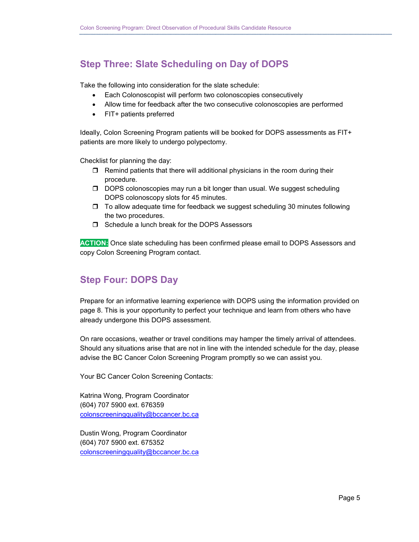### **Step Three: Slate Scheduling on Day of DOPS**

Take the following into consideration for the slate schedule:

- Each Colonoscopist will perform two colonoscopies consecutively
- Allow time for feedback after the two consecutive colonoscopies are performed
- FIT+ patients preferred

Ideally, Colon Screening Program patients will be booked for DOPS assessments as FIT+ patients are more likely to undergo polypectomy.

Checklist for planning the day:

- $\Box$  Remind patients that there will additional physicians in the room during their procedure.
- D DOPS colonoscopies may run a bit longer than usual. We suggest scheduling DOPS colonoscopy slots for 45 minutes.
- $\Box$  To allow adequate time for feedback we suggest scheduling 30 minutes following the two procedures.
- □ Schedule a lunch break for the DOPS Assessors

**ACTION:** Once slate scheduling has been confirmed please email to DOPS Assessors and copy Colon Screening Program contact.

### **Step Four: DOPS Day**

Prepare for an informative learning experience with DOPS using the information provided on page 8. This is your opportunity to perfect your technique and learn from others who have already undergone this DOPS assessment.

On rare occasions, weather or travel conditions may hamper the timely arrival of attendees. Should any situations arise that are not in line with the intended schedule for the day, please advise the BC Cancer Colon Screening Program promptly so we can assist you.

Your BC Cancer Colon Screening Contacts:

Katrina Wong, Program Coordinator (604) 707 5900 ext. 676359 [colonscreeningquality@bccancer.bc.ca](mailto:colonscreeningquality@bccancer.bc.ca)

Dustin Wong, Program Coordinator (604) 707 5900 ext. 675352 colonscreeningquality@bccancer.bc.ca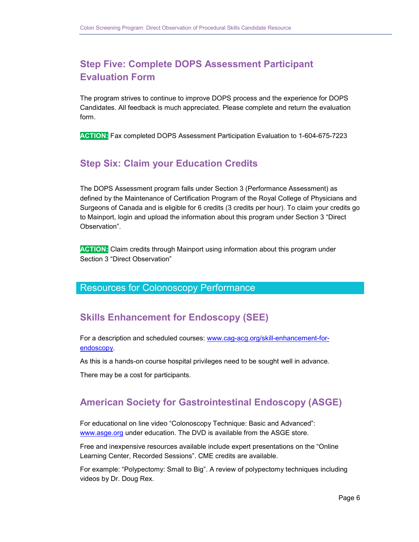### **Step Five: Complete DOPS Assessment Participant Evaluation Form**

The program strives to continue to improve DOPS process and the experience for DOPS Candidates. All feedback is much appreciated. Please complete and return the evaluation form.

**ACTION:** Fax completed DOPS Assessment Participation Evaluation to 1-604-675-7223

### **Step Six: Claim your Education Credits**

The DOPS Assessment program falls under Section 3 (Performance Assessment) as defined by the Maintenance of Certification Program of the Royal College of Physicians and Surgeons of Canada and is eligible for 6 credits (3 credits per hour). To claim your credits go to Mainport, login and upload the information about this program under Section 3 "Direct Observation".

**ACTION:** Claim credits through Mainport using information about this program under Section 3 "Direct Observation"

### Resources for Colonoscopy Performance

### **Skills Enhancement for Endoscopy (SEE)**

For a description and scheduled courses: [www.cag-acg.org/skill-enhancement-for](http://www.cag-acg.org/skill-enhancement-for-endoscopy)[endoscopy.](http://www.cag-acg.org/skill-enhancement-for-endoscopy)

As this is a hands-on course hospital privileges need to be sought well in advance.

There may be a cost for participants.

### **American Society for Gastrointestinal Endoscopy (ASGE)**

For educational on line video "Colonoscopy Technique: Basic and Advanced": [www.asge.org](http://www.asge.org/) under education. The DVD is available from the ASGE store.

Free and inexpensive resources available include expert presentations on the "Online Learning Center, Recorded Sessions". CME credits are available.

For example: "Polypectomy: Small to Big". A review of polypectomy techniques including videos by Dr. Doug Rex.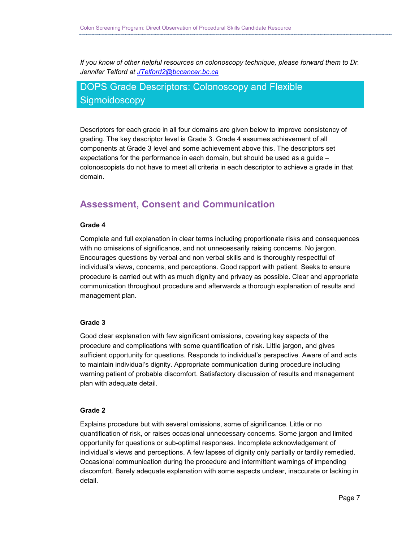*If you know of other helpful resources on colonoscopy technique, please forward them to Dr. Jennifer Telford at [JTelford2@bccancer.bc.ca](mailto:JTelford2@bccancer.bc.ca)*

### DOPS Grade Descriptors: Colonoscopy and Flexible **Sigmoidoscopy**

Descriptors for each grade in all four domains are given below to improve consistency of grading. The key descriptor level is Grade 3. Grade 4 assumes achievement of all components at Grade 3 level and some achievement above this. The descriptors set expectations for the performance in each domain, but should be used as a guide – colonoscopists do not have to meet all criteria in each descriptor to achieve a grade in that domain.

### **Assessment, Consent and Communication**

#### **Grade 4**

Complete and full explanation in clear terms including proportionate risks and consequences with no omissions of significance, and not unnecessarily raising concerns. No jargon. Encourages questions by verbal and non verbal skills and is thoroughly respectful of individual's views, concerns, and perceptions. Good rapport with patient. Seeks to ensure procedure is carried out with as much dignity and privacy as possible. Clear and appropriate communication throughout procedure and afterwards a thorough explanation of results and management plan.

#### **Grade 3**

Good clear explanation with few significant omissions, covering key aspects of the procedure and complications with some quantification of risk. Little jargon, and gives sufficient opportunity for questions. Responds to individual's perspective. Aware of and acts to maintain individual's dignity. Appropriate communication during procedure including warning patient of probable discomfort. Satisfactory discussion of results and management plan with adequate detail.

#### **Grade 2**

Explains procedure but with several omissions, some of significance. Little or no quantification of risk, or raises occasional unnecessary concerns. Some jargon and limited opportunity for questions or sub-optimal responses. Incomplete acknowledgement of individual's views and perceptions. A few lapses of dignity only partially or tardily remedied. Occasional communication during the procedure and intermittent warnings of impending discomfort. Barely adequate explanation with some aspects unclear, inaccurate or lacking in detail.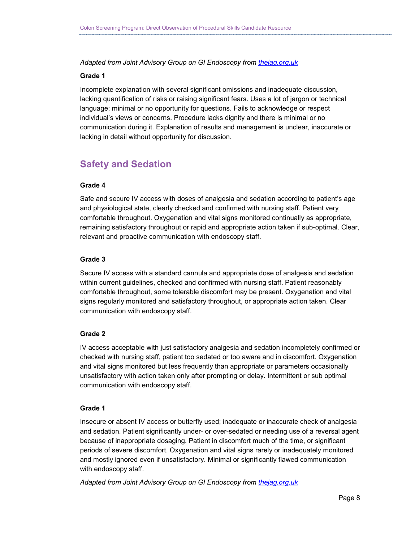*Adapted from Joint Advisory Group on GI Endoscopy from [thejag.org.uk](http://www.thejag.org.uk/AboutUs/DownloadCentre.aspx)*

#### **Grade 1**

Incomplete explanation with several significant omissions and inadequate discussion, lacking quantification of risks or raising significant fears. Uses a lot of jargon or technical language; minimal or no opportunity for questions. Fails to acknowledge or respect individual's views or concerns. Procedure lacks dignity and there is minimal or no communication during it. Explanation of results and management is unclear, inaccurate or lacking in detail without opportunity for discussion.

### **Safety and Sedation**

#### **Grade 4**

Safe and secure IV access with doses of analgesia and sedation according to patient's age and physiological state, clearly checked and confirmed with nursing staff. Patient very comfortable throughout. Oxygenation and vital signs monitored continually as appropriate, remaining satisfactory throughout or rapid and appropriate action taken if sub-optimal. Clear, relevant and proactive communication with endoscopy staff.

#### **Grade 3**

Secure IV access with a standard cannula and appropriate dose of analgesia and sedation within current guidelines, checked and confirmed with nursing staff. Patient reasonably comfortable throughout, some tolerable discomfort may be present. Oxygenation and vital signs regularly monitored and satisfactory throughout, or appropriate action taken. Clear communication with endoscopy staff.

#### **Grade 2**

IV access acceptable with just satisfactory analgesia and sedation incompletely confirmed or checked with nursing staff, patient too sedated or too aware and in discomfort. Oxygenation and vital signs monitored but less frequently than appropriate or parameters occasionally unsatisfactory with action taken only after prompting or delay. Intermittent or sub optimal communication with endoscopy staff.

#### **Grade 1**

Insecure or absent IV access or butterfly used; inadequate or inaccurate check of analgesia and sedation. Patient significantly under- or over-sedated or needing use of a reversal agent because of inappropriate dosaging. Patient in discomfort much of the time, or significant periods of severe discomfort. Oxygenation and vital signs rarely or inadequately monitored and mostly ignored even if unsatisfactory. Minimal or significantly flawed communication with endoscopy staff.

*Adapted from Joint Advisory Group on GI Endoscopy from [thejag.org.uk](http://www.thejag.org.uk/AboutUs/DownloadCentre.aspx)*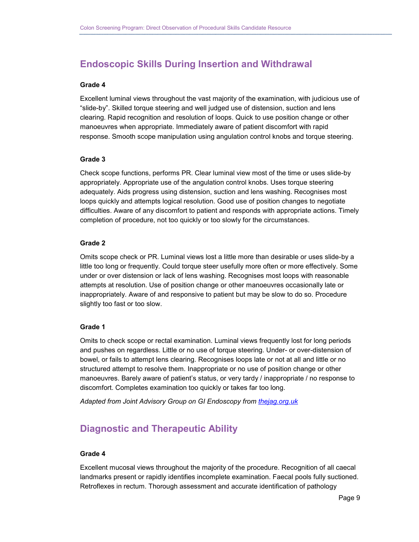### **Endoscopic Skills During Insertion and Withdrawal**

#### **Grade 4**

Excellent luminal views throughout the vast majority of the examination, with judicious use of "slide-by". Skilled torque steering and well judged use of distension, suction and lens clearing. Rapid recognition and resolution of loops. Quick to use position change or other manoeuvres when appropriate. Immediately aware of patient discomfort with rapid response. Smooth scope manipulation using angulation control knobs and torque steering.

#### **Grade 3**

Check scope functions, performs PR. Clear luminal view most of the time or uses slide-by appropriately. Appropriate use of the angulation control knobs. Uses torque steering adequately. Aids progress using distension, suction and lens washing. Recognises most loops quickly and attempts logical resolution. Good use of position changes to negotiate difficulties. Aware of any discomfort to patient and responds with appropriate actions. Timely completion of procedure, not too quickly or too slowly for the circumstances.

#### **Grade 2**

Omits scope check or PR. Luminal views lost a little more than desirable or uses slide-by a little too long or frequently. Could torque steer usefully more often or more effectively. Some under or over distension or lack of lens washing. Recognises most loops with reasonable attempts at resolution. Use of position change or other manoeuvres occasionally late or inappropriately. Aware of and responsive to patient but may be slow to do so. Procedure slightly too fast or too slow.

#### **Grade 1**

Omits to check scope or rectal examination. Luminal views frequently lost for long periods and pushes on regardless. Little or no use of torque steering. Under- or over-distension of bowel, or fails to attempt lens clearing. Recognises loops late or not at all and little or no structured attempt to resolve them. Inappropriate or no use of position change or other manoeuvres. Barely aware of patient's status, or very tardy / inappropriate / no response to discomfort. Completes examination too quickly or takes far too long.

*Adapted from Joint Advisory Group on GI Endoscopy from [thejag.org.uk](http://www.thejag.org.uk/AboutUs/DownloadCentre.aspx)*

### **Diagnostic and Therapeutic Ability**

#### **Grade 4**

Excellent mucosal views throughout the majority of the procedure. Recognition of all caecal landmarks present or rapidly identifies incomplete examination. Faecal pools fully suctioned. Retroflexes in rectum. Thorough assessment and accurate identification of pathology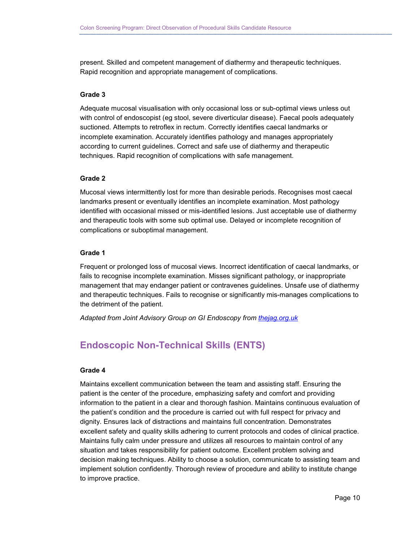present. Skilled and competent management of diathermy and therapeutic techniques. Rapid recognition and appropriate management of complications.

#### **Grade 3**

Adequate mucosal visualisation with only occasional loss or sub-optimal views unless out with control of endoscopist (eg stool, severe diverticular disease). Faecal pools adequately suctioned. Attempts to retroflex in rectum. Correctly identifies caecal landmarks or incomplete examination. Accurately identifies pathology and manages appropriately according to current guidelines. Correct and safe use of diathermy and therapeutic techniques. Rapid recognition of complications with safe management.

#### **Grade 2**

Mucosal views intermittently lost for more than desirable periods. Recognises most caecal landmarks present or eventually identifies an incomplete examination. Most pathology identified with occasional missed or mis-identified lesions. Just acceptable use of diathermy and therapeutic tools with some sub optimal use. Delayed or incomplete recognition of complications or suboptimal management.

#### **Grade 1**

Frequent or prolonged loss of mucosal views. Incorrect identification of caecal landmarks, or fails to recognise incomplete examination. Misses significant pathology, or inappropriate management that may endanger patient or contravenes guidelines. Unsafe use of diathermy and therapeutic techniques. Fails to recognise or significantly mis-manages complications to the detriment of the patient.

*Adapted from Joint Advisory Group on GI Endoscopy from [thejag.org.uk](http://www.thejag.org.uk/AboutUs/DownloadCentre.aspx)*

### **Endoscopic Non-Technical Skills (ENTS)**

#### **Grade 4**

Maintains excellent communication between the team and assisting staff. Ensuring the patient is the center of the procedure, emphasizing safety and comfort and providing information to the patient in a clear and thorough fashion. Maintains continuous evaluation of the patient's condition and the procedure is carried out with full respect for privacy and dignity. Ensures lack of distractions and maintains full concentration. Demonstrates excellent safety and quality skills adhering to current protocols and codes of clinical practice. Maintains fully calm under pressure and utilizes all resources to maintain control of any situation and takes responsibility for patient outcome. Excellent problem solving and decision making techniques. Ability to choose a solution, communicate to assisting team and implement solution confidently. Thorough review of procedure and ability to institute change to improve practice.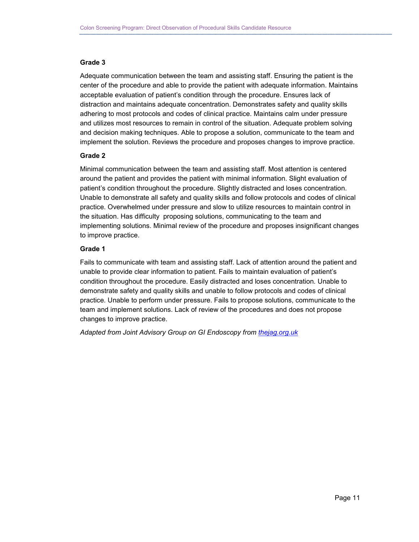#### **Grade 3**

Adequate communication between the team and assisting staff. Ensuring the patient is the center of the procedure and able to provide the patient with adequate information. Maintains acceptable evaluation of patient's condition through the procedure. Ensures lack of distraction and maintains adequate concentration. Demonstrates safety and quality skills adhering to most protocols and codes of clinical practice. Maintains calm under pressure and utilizes most resources to remain in control of the situation. Adequate problem solving and decision making techniques. Able to propose a solution, communicate to the team and implement the solution. Reviews the procedure and proposes changes to improve practice.

#### **Grade 2**

Minimal communication between the team and assisting staff. Most attention is centered around the patient and provides the patient with minimal information. Slight evaluation of patient's condition throughout the procedure. Slightly distracted and loses concentration. Unable to demonstrate all safety and quality skills and follow protocols and codes of clinical practice. Overwhelmed under pressure and slow to utilize resources to maintain control in the situation. Has difficulty proposing solutions, communicating to the team and implementing solutions. Minimal review of the procedure and proposes insignificant changes to improve practice.

#### **Grade 1**

Fails to communicate with team and assisting staff. Lack of attention around the patient and unable to provide clear information to patient. Fails to maintain evaluation of patient's condition throughout the procedure. Easily distracted and loses concentration. Unable to demonstrate safety and quality skills and unable to follow protocols and codes of clinical practice. Unable to perform under pressure. Fails to propose solutions, communicate to the team and implement solutions. Lack of review of the procedures and does not propose changes to improve practice.

*Adapted from Joint Advisory Group on GI Endoscopy from [thejag.org.uk](http://www.thejag.org.uk/AboutUs/DownloadCentre.aspx)*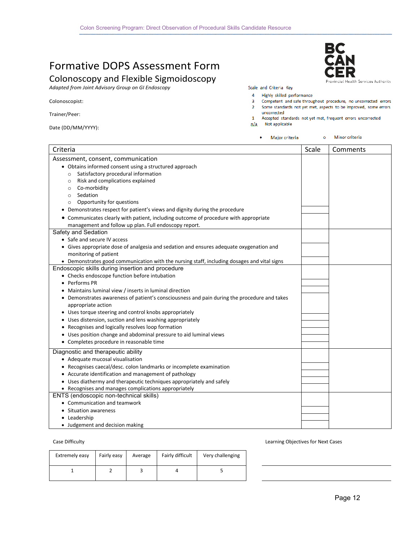### Formative DOPS Assessment Form

### Colonoscopy and Flexible Sigmoidoscopy

*Adapted from Joint Advisory Group on GI Endoscopy*

#### Colonoscopist:

Trainer/Peer:

|  | Date (DD/MM/YYYY): |
|--|--------------------|
|--|--------------------|

ealth Services Authority

BC

Scale and Criteria Key

4 Highly skilled performance

- $\overline{\mathbf{3}}$ Competent and safe throughout procedure, no uncorrected errors
- 2 Some standards not yet met, aspects to be improved, some errors uncorrected
- 1 Accepted standards not yet met, frequent errors uncorrected n/a Not applicable

| Major criteria<br>٠ |
|---------------------|
|---------------------|

o Minor criteria

| Criteria                                                                                    | Scale | Comments |
|---------------------------------------------------------------------------------------------|-------|----------|
| Assessment, consent, communication                                                          |       |          |
| • Obtains informed consent using a structured approach                                      |       |          |
| Satisfactory procedural information<br>$\circ$                                              |       |          |
| Risk and complications explained<br>$\circ$                                                 |       |          |
| Co-morbidity<br>$\circ$                                                                     |       |          |
| Sedation<br>$\circ$                                                                         |       |          |
| Opportunity for questions<br>$\circ$                                                        |       |          |
| • Demonstrates respect for patient's views and dignity during the procedure                 |       |          |
| • Communicates clearly with patient, including outcome of procedure with appropriate        |       |          |
| management and follow up plan. Full endoscopy report.                                       |       |          |
| Safety and Sedation                                                                         |       |          |
| • Safe and secure IV access                                                                 |       |          |
| • Gives appropriate dose of analgesia and sedation and ensures adequate oxygenation and     |       |          |
| monitoring of patient                                                                       |       |          |
| • Demonstrates good communication with the nursing staff, including dosages and vital signs |       |          |
| Endoscopic skills during insertion and procedure                                            |       |          |
| • Checks endoscope function before intubation                                               |       |          |
| • Performs PR                                                                               |       |          |
| • Maintains luminal view / inserts in luminal direction                                     |       |          |
| • Demonstrates awareness of patient's consciousness and pain during the procedure and takes |       |          |
| appropriate action                                                                          |       |          |
| • Uses torque steering and control knobs appropriately                                      |       |          |
| • Uses distension, suction and lens washing appropriately                                   |       |          |
| • Recognises and logically resolves loop formation                                          |       |          |
| • Uses position change and abdominal pressure to aid luminal views                          |       |          |
| • Completes procedure in reasonable time                                                    |       |          |
| Diagnostic and therapeutic ability                                                          |       |          |
| • Adequate mucosal visualisation                                                            |       |          |
| • Recognises caecal/desc. colon landmarks or incomplete examination                         |       |          |
| • Accurate identification and management of pathology                                       |       |          |
| • Uses diathermy and therapeutic techniques appropriately and safely                        |       |          |
| • Recognises and manages complications appropriately                                        |       |          |
| ENTS (endoscopic non-technical skills)                                                      |       |          |
| • Communication and teamwork                                                                |       |          |
| <b>Situation awareness</b>                                                                  |       |          |
| • Leadership                                                                                |       |          |
| • Judgement and decision making                                                             |       |          |

| Extremely easy | Fairly easy | Average | Fairly difficult | Very challenging |
|----------------|-------------|---------|------------------|------------------|
|                |             |         |                  |                  |

Case Difficulty **Case Objectives for Next Cases** Case Cases **Cases** Cases **Learning Objectives for Next Cases**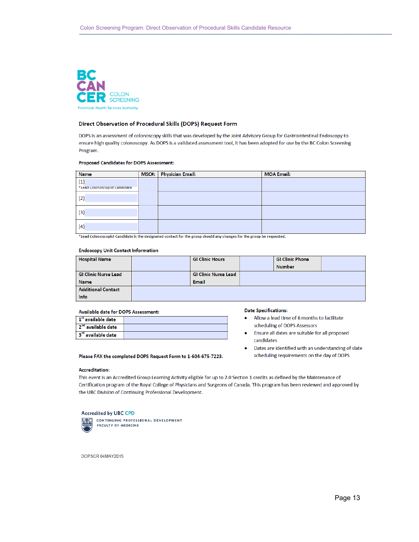

#### Direct Observation of Procedural Skills (DOPS) Request Form

DOPS is an assessment of colonoscopy skills that was developed by the Joint Advisory Group for Gastrointestinal Endoscopy to ensure high quality colonoscopy. As DOPS is a validated assessment tool, it has been adopted for use by the BC Colon Screening Program.

#### Proposed Candidates for DOPS Assessment:

| <b>Name</b>                          | MSC#: Physician Email: | <b>MOA Email:</b> |
|--------------------------------------|------------------------|-------------------|
| (1)<br>*Lead Colonoscopist Candidate |                        |                   |
| (2)                                  |                        |                   |
| (3)                                  |                        |                   |
| (4)                                  |                        |                   |

\*Lead Colonoscopist Candidate is the designated contact for the group should any changes for the group be requested.

#### **Endoscopy Unit Contact Information**

| <b>Hospital Name</b>        | <b>GI Clinic Hours</b>      | <b>GI Clinic Phone</b> |  |
|-----------------------------|-----------------------------|------------------------|--|
|                             |                             | <b>Number</b>          |  |
| <b>GI Clinic Nurse Lead</b> | <b>GI Clinic Nurse Lead</b> |                        |  |
| <b>Name</b>                 | <b>Email</b>                |                        |  |
| <b>Additional Contact</b>   |                             |                        |  |
| Info                        |                             |                        |  |

#### Available date for DOPS Assessment:

| $\mathbf{1}^{\text{st}}$ available date |  |
|-----------------------------------------|--|
| 2 <sup>nd</sup> available date          |  |
| 3 <sup>rd</sup> available date          |  |

Please FAX the completed DOPS Request Form to 1-604-675-7223.

#### **Date Specifications:**

- Allow a lead time of 6 months to facilitate  $\bullet$ scheduling of DOPS Assessors
- Ensure all dates are suitable for all proposed candidates
- $\bullet$ Dates are identified with an understanding of slate scheduling requirements on the day of DOPS

### **Accreditation:**

This event is an Accredited Group Learning Activity eligible for up to 2.0 Section 1 credits as defined by the Maintenance of Certification program of the Royal College of Physicians and Surgeons of Canada. This program has been reviewed and approved by the UBC Division of Continuing Professional Development.

#### **Accredited by UBC CPD**



CONTINUING PROFESSIONAL DEVELOPMENT **FACULTY OF MEDICINE** 

DOPSCR 04MAY2015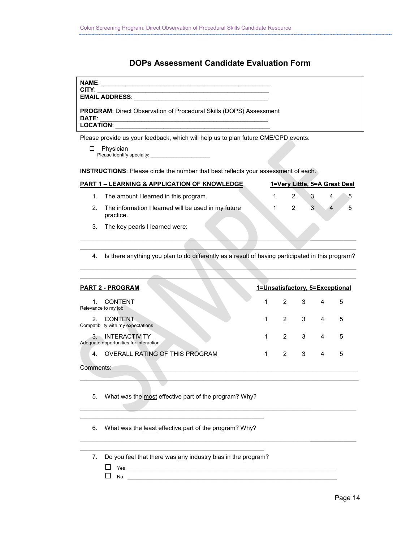#### **DOPs Assessment Candidate Evaluation Form**

| <b>NAME:</b><br><b>CITY:</b>                                                       |  |
|------------------------------------------------------------------------------------|--|
| <b>EMAIL ADDRESS:</b>                                                              |  |
| <b>PROGRAM:</b> Direct Observation of Procedural Skills (DOPS) Assessment<br>DATE: |  |
| LOCATION:                                                                          |  |

Please provide us your feedback, which will help us to plan future CME/CPD events.

Physician Please identify specialty: \_\_\_\_\_\_\_\_\_\_\_\_\_\_\_\_\_\_\_\_\_\_\_\_\_\_

**INSTRUCTIONS**: Please circle the number that best reflects your assessment of each.

|    | <b>PART 1 – LEARNING &amp; APPLICATION OF KNOWLEDGE</b>          |             | 1=Very Little, 5=A Great Deal |   |
|----|------------------------------------------------------------------|-------------|-------------------------------|---|
|    | 1. The amount I learned in this program.                         | $2^{\circ}$ | 4                             | 5 |
| 2. | The information I learned will be used in my future<br>practice. | 2           | $\overline{4}$                | 5 |
|    | 3. The key pearls I learned were:                                |             |                               |   |

4. Is there anything you plan to do differently as a result of having participated in this program?

**\_\_\_\_\_\_\_\_\_\_\_\_\_\_\_\_\_\_\_\_\_\_\_\_\_\_\_\_\_\_\_\_\_\_\_\_\_\_\_\_\_\_\_\_\_\_\_\_\_\_\_\_\_\_\_\_\_\_\_\_\_\_\_\_\_\_**

\_\_\_\_\_\_\_\_\_\_\_\_\_\_\_\_\_\_\_\_\_\_\_\_\_\_\_\_\_\_\_\_\_\_\_\_\_\_\_\_\_\_\_\_\_\_\_\_\_\_\_\_\_\_\_**\_\_\_\_\_\_\_\_\_\_\_**

| <b>PART 2 - PROGRAM</b>                                                | 1=Unsatisfactory, 5=Exceptional |         |                |   |
|------------------------------------------------------------------------|---------------------------------|---------|----------------|---|
| <b>CONTENT</b><br>Relevance to my job                                  | 1                               | 2 3     | $\overline{4}$ | 5 |
| <b>CONTENT</b><br>2 <sup>1</sup><br>Compatibility with my expectations | $\mathbf 1$                     | $2 \t3$ | $\overline{4}$ | 5 |
| <b>INTERACTIVITY</b><br>3.<br>Adequate opportunities for interaction   |                                 | 2 3     | $\overline{4}$ | 5 |
| OVERALL RATING OF THIS PROGRAM<br>4.                                   | $\mathbf{1}$                    | 2 3     | 4              | 5 |
| Comments:                                                              |                                 |         |                |   |

\_**\_\_\_\_\_\_\_\_\_\_\_\_\_\_\_\_\_\_\_\_\_\_\_\_\_\_\_\_\_\_\_\_\_\_\_\_\_\_\_\_\_\_\_\_\_\_\_\_\_\_\_\_\_\_\_\_\_\_\_\_** 

\_\_\_\_\_\_\_\_\_\_\_\_\_\_\_\_\_\_\_\_\_\_\_\_\_\_\_\_\_\_\_\_\_\_\_\_\_\_\_\_\_\_\_\_\_\_\_\_\_\_\_\_\_\_\_**\_\_\_\_\_\_\_\_\_\_\_**

\_\_\_\_\_\_\_\_\_\_\_\_\_\_\_\_\_\_\_\_\_\_\_\_\_\_\_\_\_\_\_\_\_\_\_\_\_\_\_\_\_\_\_\_\_\_\_\_\_\_\_\_\_\_\_**\_\_\_\_\_\_\_\_\_\_\_**

5. What was the most effective part of the program? Why?

**\_\_\_\_\_\_\_\_\_\_\_\_\_\_\_\_\_\_\_\_\_\_\_\_\_\_\_\_\_\_\_\_\_\_\_\_\_\_\_\_\_\_\_\_** 6. What was the least effective part of the program? Why?

**\_\_\_\_\_\_\_\_\_\_\_\_\_\_\_\_\_\_\_\_\_\_\_\_\_\_\_\_\_\_\_\_\_\_\_\_\_\_\_\_\_\_\_\_**

7. Do you feel that there was any industry bias in the program?

| $\cdot$ $\cdot$ $\cdot$ |  |
|-------------------------|--|
|                         |  |

 $\Box$  No  $\Box$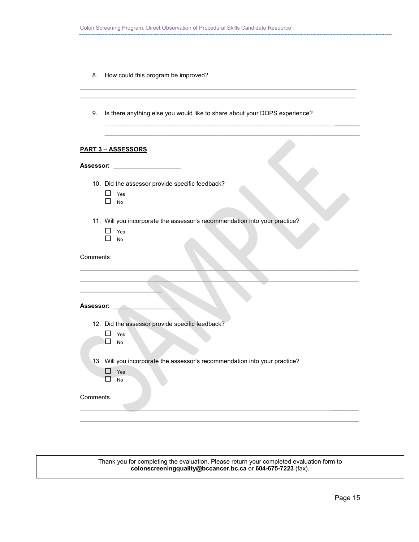8. How could this program be improved?

9. Is there anything else you would like to share about your DOPS experience?

\_\_\_\_\_\_\_\_\_\_\_\_\_\_\_\_\_\_\_\_\_\_\_\_\_\_\_\_\_\_\_\_\_\_\_\_\_\_\_\_\_\_\_\_\_\_\_\_\_\_\_\_\_\_\_**\_\_\_\_\_\_\_\_\_\_\_ \_\_\_\_\_\_\_\_\_\_\_\_\_\_\_\_\_\_\_\_\_\_\_\_\_\_\_\_\_\_\_\_\_\_\_\_\_\_\_\_\_\_\_\_\_\_\_\_\_\_\_\_\_\_\_\_\_\_\_\_\_\_\_\_\_\_**

\_\_\_\_\_\_\_\_\_\_\_\_\_\_\_\_\_\_\_\_\_\_\_\_\_\_\_\_\_\_\_\_\_\_\_\_\_\_\_\_\_\_\_\_\_\_\_\_\_\_\_\_\_\_\_**\_\_\_\_\_\_ \_\_\_\_\_\_\_\_\_\_\_\_\_\_\_\_\_\_\_\_\_\_\_\_\_\_\_\_\_\_\_\_\_\_\_\_\_\_\_\_\_\_\_\_\_\_\_\_\_\_\_\_\_\_\_\_\_\_\_\_\_**

#### **PART 3 – ASSESSORS**

| Assessor: |  |  |  |
|-----------|--|--|--|
|           |  |  |  |

- 10. Did the assessor provide specific feedback?
	- □ Yes  $\Box$  No
- 11. Will you incorporate the assessor's recommendation into your practice?
	- □ Yes  $\Box$  No

Comments:

| Assessor:                                                                  |
|----------------------------------------------------------------------------|
| 12. Did the assessor provide specific feedback?                            |
| Yes<br>No                                                                  |
| 13. Will you incorporate the assessor's recommendation into your practice? |
| Yes<br>No                                                                  |
| Comments:                                                                  |
|                                                                            |
|                                                                            |

Thank you for completing the evaluation. Please return your completed evaluation form to **colonscreeningquality@bccancer.bc.ca** or **604-675-7223** (fax).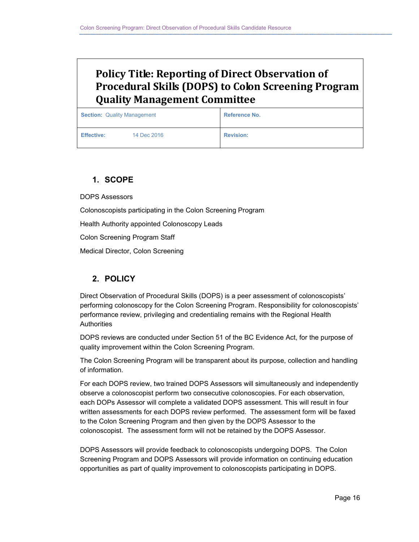## **Policy Title: Reporting of Direct Observation of Procedural Skills (DOPS) to Colon Screening Program Quality Management Committee**

| <b>Section: Quality Management</b> |             | <b>Reference No.</b> |  |
|------------------------------------|-------------|----------------------|--|
| <b>Effective:</b>                  | 14 Dec 2016 | <b>Revision:</b>     |  |

### **1. SCOPE**

DOPS Assessors

Colonoscopists participating in the Colon Screening Program

Health Authority appointed Colonoscopy Leads

Colon Screening Program Staff

Medical Director, Colon Screening

### **2. POLICY**

Direct Observation of Procedural Skills (DOPS) is a peer assessment of colonoscopists' performing colonoscopy for the Colon Screening Program. Responsibility for colonoscopists' performance review, privileging and credentialing remains with the Regional Health **Authorities** 

DOPS reviews are conducted under Section 51 of the BC Evidence Act, for the purpose of quality improvement within the Colon Screening Program.

The Colon Screening Program will be transparent about its purpose, collection and handling of information.

For each DOPS review, two trained DOPS Assessors will simultaneously and independently observe a colonoscopist perform two consecutive colonoscopies. For each observation, each DOPs Assessor will complete a validated DOPS assessment. This will result in four written assessments for each DOPS review performed. The assessment form will be faxed to the Colon Screening Program and then given by the DOPS Assessor to the colonoscopist. The assessment form will not be retained by the DOPS Assessor.

DOPS Assessors will provide feedback to colonoscopists undergoing DOPS. The Colon Screening Program and DOPS Assessors will provide information on continuing education opportunities as part of quality improvement to colonoscopists participating in DOPS.